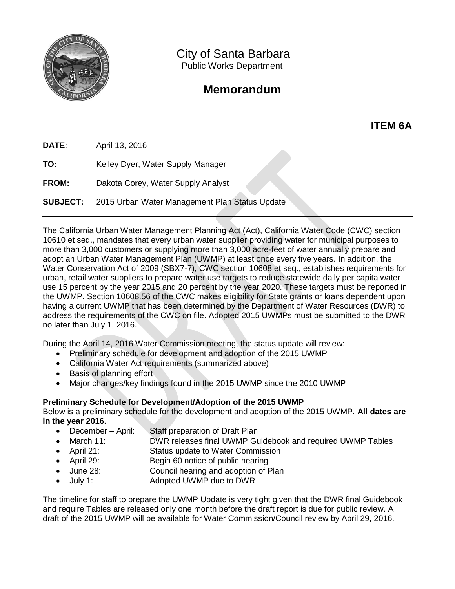

City of Santa Barbara Public Works Department

## **Memorandum**

**ITEM 6A**

**DATE**: April 13, 2016

**TO:** Kelley Dyer, Water Supply Manager

**FROM:** Dakota Corey, Water Supply Analyst

**SUBJECT:** 2015 Urban Water Management Plan Status Update

The California Urban Water Management Planning Act (Act), California Water Code (CWC) section 10610 et seq., mandates that every urban water supplier providing water for municipal purposes to more than 3,000 customers or supplying more than 3,000 acre-feet of water annually prepare and adopt an Urban Water Management Plan (UWMP) at least once every five years. In addition, the Water Conservation Act of 2009 (SBX7-7), CWC section 10608 et seq., establishes requirements for urban, retail water suppliers to prepare water use targets to reduce statewide daily per capita water use 15 percent by the year 2015 and 20 percent by the year 2020. These targets must be reported in the UWMP. Section 10608.56 of the CWC makes eligibility for State grants or loans dependent upon having a current UWMP that has been determined by the Department of Water Resources (DWR) to address the requirements of the CWC on file. Adopted 2015 UWMPs must be submitted to the DWR no later than July 1, 2016.

During the April 14, 2016 Water Commission meeting, the status update will review:

- Preliminary schedule for development and adoption of the 2015 UWMP
- California Water Act requirements (summarized above)
- **•** Basis of planning effort
- Major changes/key findings found in the 2015 UWMP since the 2010 UWMP

## **Preliminary Schedule for Development/Adoption of the 2015 UWMP**

Below is a preliminary schedule for the development and adoption of the 2015 UWMP. **All dates are in the year 2016.**

- December April: Staff preparation of Draft Plan
- March 11: DWR releases final UWMP Guidebook and required UWMP Tables
- April 21: Status update to Water Commission
- April 29: Begin 60 notice of public hearing
- June 28: Council hearing and adoption of Plan
- July 1: Adopted UWMP due to DWR

The timeline for staff to prepare the UWMP Update is very tight given that the DWR final Guidebook and require Tables are released only one month before the draft report is due for public review. A draft of the 2015 UWMP will be available for Water Commission/Council review by April 29, 2016.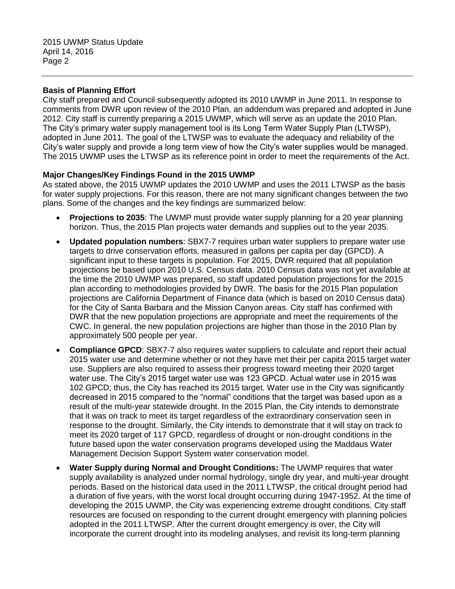## **Basis of Planning Effort**

City staff prepared and Council subsequently adopted its 2010 UWMP in June 2011. In response to comments from DWR upon review of the 2010 Plan, an addendum was prepared and adopted in June 2012. City staff is currently preparing a 2015 UWMP, which will serve as an update the 2010 Plan. The City's primary water supply management tool is its Long Term Water Supply Plan (LTWSP), adopted in June 2011. The goal of the LTWSP was to evaluate the adequacy and reliability of the City's water supply and provide a long term view of how the City's water supplies would be managed. The 2015 UWMP uses the LTWSP as its reference point in order to meet the requirements of the Act.

## **Major Changes/Key Findings Found in the 2015 UWMP**

As stated above, the 2015 UWMP updates the 2010 UWMP and uses the 2011 LTWSP as the basis for water supply projections. For this reason, there are not many significant changes between the two plans. Some of the changes and the key findings are summarized below:

- **Projections to 2035**: The UWMP must provide water supply planning for a 20 year planning horizon. Thus, the 2015 Plan projects water demands and supplies out to the year 2035.
- **Updated population numbers**: SBX7-7 requires urban water suppliers to prepare water use targets to drive conservation efforts, measured in gallons per capita per day (GPCD). A significant input to these targets is population. For 2015, DWR required that all population projections be based upon 2010 U.S. Census data. 2010 Census data was not yet available at the time the 2010 UWMP was prepared, so staff updated population projections for the 2015 plan according to methodologies provided by DWR. The basis for the 2015 Plan population projections are California Department of Finance data (which is based on 2010 Census data) for the City of Santa Barbara and the Mission Canyon areas. City staff has confirmed with DWR that the new population projections are appropriate and meet the requirements of the CWC. In general, the new population projections are higher than those in the 2010 Plan by approximately 500 people per year.
- **Compliance GPCD**: SBX7-7 also requires water suppliers to calculate and report their actual 2015 water use and determine whether or not they have met their per capita 2015 target water use. Suppliers are also required to assess their progress toward meeting their 2020 target water use. The City's 2015 target water use was 123 GPCD. Actual water use in 2015 was 102 GPCD; thus, the City has reached its 2015 target. Water use in the City was significantly decreased in 2015 compared to the "normal" conditions that the target was based upon as a result of the multi-year statewide drought. In the 2015 Plan, the City intends to demonstrate that it was on track to meet its target regardless of the extraordinary conservation seen in response to the drought. Similarly, the City intends to demonstrate that it will stay on track to meet its 2020 target of 117 GPCD, regardless of drought or non-drought conditions in the future based upon the water conservation programs developed using the Maddaus Water Management Decision Support System water conservation model.
- **Water Supply during Normal and Drought Conditions:** The UWMP requires that water supply availability is analyzed under normal hydrology, single dry year, and multi-year drought periods. Based on the historical data used in the 2011 LTWSP, the critical drought period had a duration of five years, with the worst local drought occurring during 1947-1952. At the time of developing the 2015 UWMP, the City was experiencing extreme drought conditions. City staff resources are focused on responding to the current drought emergency with planning policies adopted in the 2011 LTWSP. After the current drought emergency is over, the City will incorporate the current drought into its modeling analyses, and revisit its long-term planning